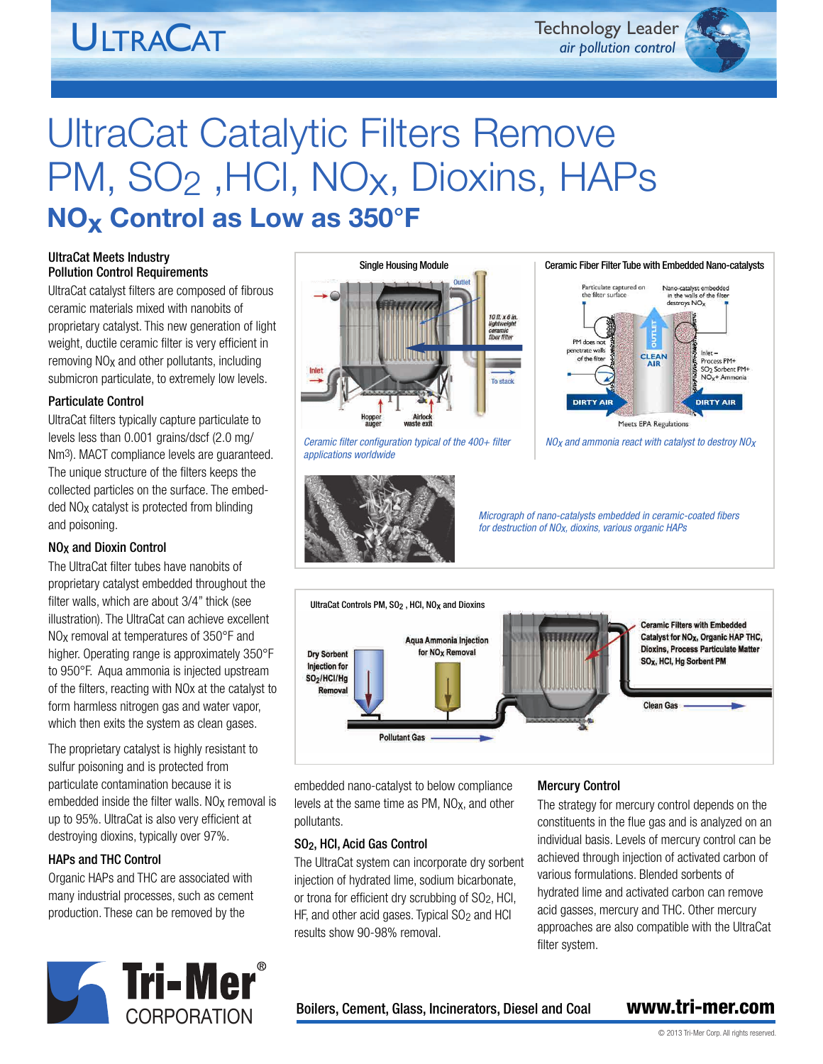## **ULTRACAT**

Technology Leader *air pollution control*

## UltraCat Catalytic Filters Remove PM, SO<sub>2</sub>, HCI, NO<sub>X</sub>, Dioxins, HAPs **NOx Control as Low as 350°F**

### UltraCat Meets Industry Pollution Control Requirements

UltraCat catalyst filters are composed of fibrous ceramic materials mixed with nanobits of proprietary catalyst. This new generation of light weight, ductile ceramic filter is very efficient in removing NOx and other pollutants, including submicron particulate, to extremely low levels.

### Particulate Control

UltraCat filters typically capture particulate to levels less than 0.001 grains/dscf (2.0 mg/ Nm3). MACT compliance levels are guaranteed. The unique structure of the filters keeps the collected particles on the surface. The embedded NOx catalyst is protected from blinding and poisoning.

### NOX and Dioxin Control

The UltraCat filter tubes have nanobits of proprietary catalyst embedded throughout the filter walls, which are about 3/4" thick (see illustration). The UltraCat can achieve excellent NOx removal at temperatures of 350°F and higher. Operating range is approximately 350°F to 950°F. Aqua ammonia is injected upstream of the filters, reacting with NOx at the catalyst to form harmless nitrogen gas and water vapor, which then exits the system as clean gases.

The proprietary catalyst is highly resistant to sulfur poisoning and is protected from particulate contamination because it is embedded inside the filter walls.  $NO<sub>X</sub>$  removal is up to 95%. UltraCat is also very efficient at destroying dioxins, typically over 97%.

### HAPs and THC Control

Organic HAPs and THC are associated with many industrial processes, such as cement production. These can be removed by the





*Ceramic filter configuration typical of the 400+ filter applications worldwide*





*NOx and ammonia react with catalyst to destroy NOx*

*Micrograph of nano-catalysts embedded in ceramic-coated fibers for destruction of NOx, dioxins, various organic HAPs*



embedded nano-catalyst to below compliance levels at the same time as PM, NOx, and other pollutants.

### SO2, HCI, Acid Gas Control

The UltraCat system can incorporate dry sorbent injection of hydrated lime, sodium bicarbonate, or trona for efficient dry scrubbing of SO2, HCI, HF, and other acid gases. Typical SO<sub>2</sub> and HCI results show 90-98% removal.

### Mercury Control

The strategy for mercury control depends on the constituents in the flue gas and is analyzed on an individual basis. Levels of mercury control can be achieved through injection of activated carbon of various formulations. Blended sorbents of hydrated lime and activated carbon can remove acid gasses, mercury and THC. Other mercury approaches are also compatible with the UltraCat filter system.

**CORPORATION** Boilers, Cement, Glass, Incinerators, Diesel and Coal **www.tri-mer.com**